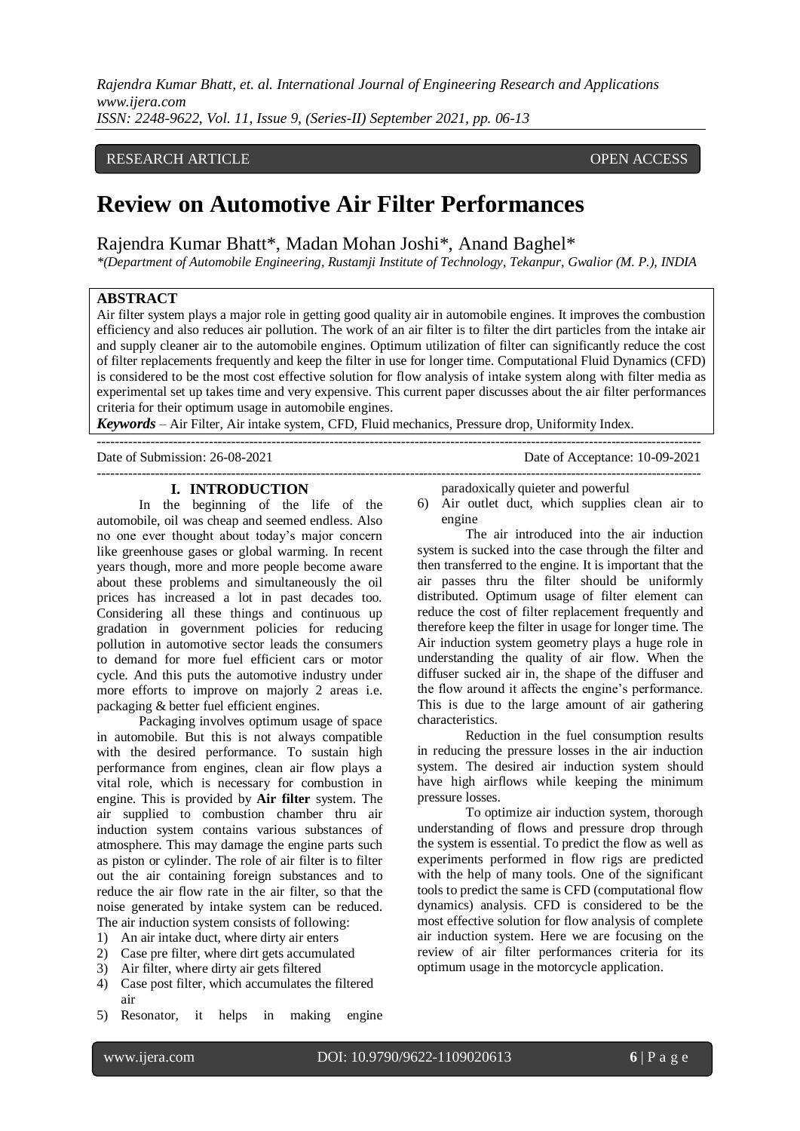*Rajendra Kumar Bhatt, et. al. International Journal of Engineering Research and Applications www.ijera.com ISSN: 2248-9622, Vol. 11, Issue 9, (Series-II) September 2021, pp. 06-13*

# RESEARCH ARTICLE **CONSERVERS** OPEN ACCESS

# **Review on Automotive Air Filter Performances**

Rajendra Kumar Bhatt\*, Madan Mohan Joshi\*, Anand Baghel\*

*\*(Department of Automobile Engineering, Rustamji Institute of Technology, Tekanpur, Gwalior (M. P.), INDIA*

#### **ABSTRACT**

Air filter system plays a major role in getting good quality air in automobile engines. It improves the combustion efficiency and also reduces air pollution. The work of an air filter is to filter the dirt particles from the intake air and supply cleaner air to the automobile engines. Optimum utilization of filter can significantly reduce the cost of filter replacements frequently and keep the filter in use for longer time. Computational Fluid Dynamics (CFD) is considered to be the most cost effective solution for flow analysis of intake system along with filter media as experimental set up takes time and very expensive. This current paper discusses about the air filter performances criteria for their optimum usage in automobile engines.

*Keywords* – Air Filter, Air intake system, CFD, Fluid mechanics, Pressure drop, Uniformity Index.

Date of Submission: 26-08-2021 Date of Acceptance: 10-09-2021

#### ---------------------------------------------------------------------------------------------------------------------------------------

#### **I. INTRODUCTION**

In the beginning of the life of the automobile, oil was cheap and seemed endless. Also no one ever thought about today's major concern like greenhouse gases or global warming. In recent years though, more and more people become aware about these problems and simultaneously the oil prices has increased a lot in past decades too. Considering all these things and continuous up gradation in government policies for reducing pollution in automotive sector leads the consumers to demand for more fuel efficient cars or motor cycle. And this puts the automotive industry under more efforts to improve on majorly 2 areas i.e. packaging & better fuel efficient engines.

Packaging involves optimum usage of space in automobile. But this is not always compatible with the desired performance. To sustain high performance from engines, clean air flow plays a vital role, which is necessary for combustion in engine. This is provided by **Air filter** system. The air supplied to combustion chamber thru air induction system contains various substances of atmosphere. This may damage the engine parts such as piston or cylinder. The role of air filter is to filter out the air containing foreign substances and to reduce the air flow rate in the air filter, so that the noise generated by intake system can be reduced. The air induction system consists of following:

- 1) An air intake duct, where dirty air enters
- 2) Case pre filter, where dirt gets accumulated
- 3) Air filter, where dirty air gets filtered
- 4) Case post filter, which accumulates the filtered air
- 5) Resonator, it helps in making engine

paradoxically quieter and powerful

6) Air outlet duct, which supplies clean air to engine

The air introduced into the air induction system is sucked into the case through the filter and then transferred to the engine. It is important that the air passes thru the filter should be uniformly distributed. Optimum usage of filter element can reduce the cost of filter replacement frequently and therefore keep the filter in usage for longer time. The Air induction system geometry plays a huge role in understanding the quality of air flow. When the diffuser sucked air in, the shape of the diffuser and the flow around it affects the engine's performance. This is due to the large amount of air gathering characteristics.

Reduction in the fuel consumption results in reducing the pressure losses in the air induction system. The desired air induction system should have high airflows while keeping the minimum pressure losses.

To optimize air induction system, thorough understanding of flows and pressure drop through the system is essential. To predict the flow as well as experiments performed in flow rigs are predicted with the help of many tools. One of the significant tools to predict the same is CFD (computational flow dynamics) analysis. CFD is considered to be the most effective solution for flow analysis of complete air induction system. Here we are focusing on the review of air filter performances criteria for its optimum usage in the motorcycle application.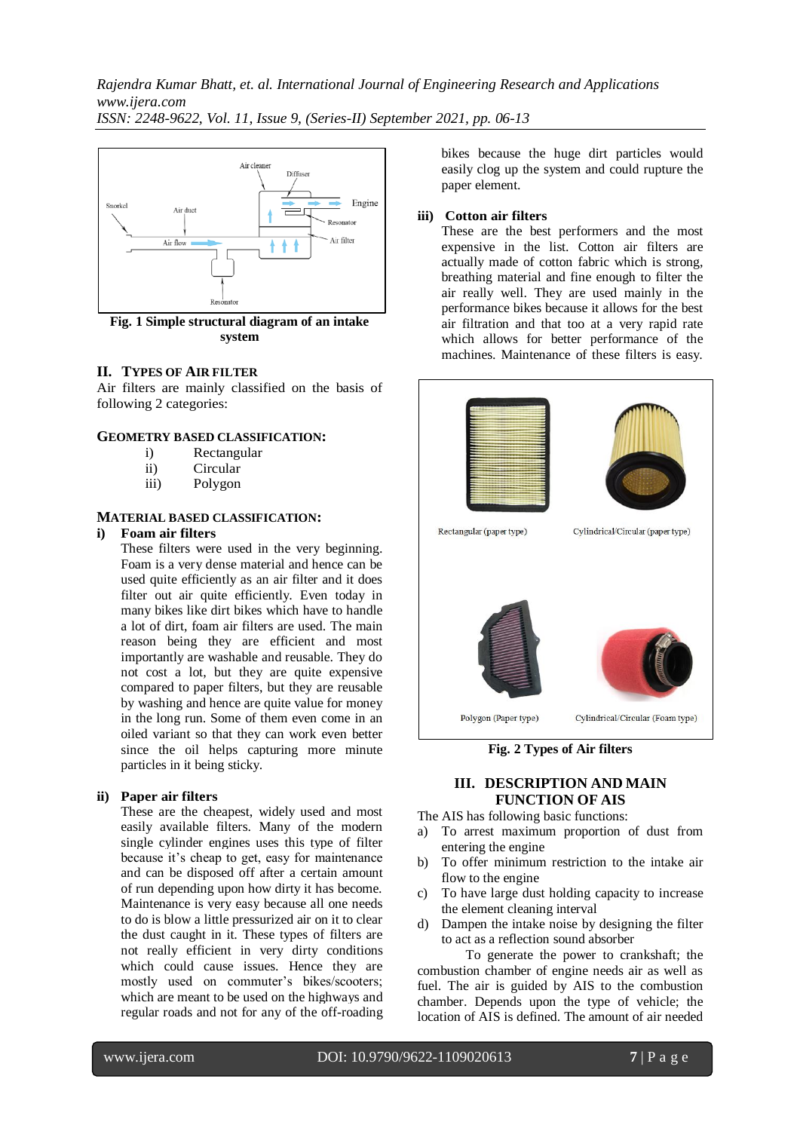

**Fig. 1 Simple structural diagram of an intake system**

# **II. TYPES OF AIR FILTER**

Air filters are mainly classified on the basis of following 2 categories:

## **GEOMETRY BASED CLASSIFICATION:**

- i) Rectangular
- ii) Circular
- iii) Polygon

## **MATERIAL BASED CLASSIFICATION:**

# **i) Foam air filters**

These filters were used in the very beginning. Foam is a very dense material and hence can be used quite efficiently as an air filter and it does filter out air quite efficiently. Even today in many bikes like dirt bikes which have to handle a lot of dirt, foam air filters are used. The main reason being they are efficient and most importantly are washable and reusable. They do not cost a lot, but they are quite expensive compared to paper filters, but they are reusable by washing and hence are quite value for money in the long run. Some of them even come in an oiled variant so that they can work even better since the oil helps capturing more minute particles in it being sticky.

# **ii) Paper air filters**

These are the cheapest, widely used and most easily available filters. Many of the modern single cylinder engines uses this type of filter because it's cheap to get, easy for maintenance and can be disposed off after a certain amount of run depending upon how dirty it has become. Maintenance is very easy because all one needs to do is blow a little pressurized air on it to clear the dust caught in it. These types of filters are not really efficient in very dirty conditions which could cause issues. Hence they are mostly used on commuter's bikes/scooters; which are meant to be used on the highways and regular roads and not for any of the off-roading

bikes because the huge dirt particles would easily clog up the system and could rupture the paper element.

## **iii) Cotton air filters**

These are the best performers and the most expensive in the list. Cotton air filters are actually made of cotton fabric which is strong, breathing material and fine enough to filter the air really well. They are used mainly in the performance bikes because it allows for the best air filtration and that too at a very rapid rate which allows for better performance of the machines. Maintenance of these filters is easy.



**Fig. 2 Types of Air filters**

# **III. DESCRIPTION AND MAIN FUNCTION OF AIS**

The AIS has following basic functions:

- a) To arrest maximum proportion of dust from entering the engine
- b) To offer minimum restriction to the intake air flow to the engine
- c) To have large dust holding capacity to increase the element cleaning interval
- d) Dampen the intake noise by designing the filter to act as a reflection sound absorber

To generate the power to crankshaft; the combustion chamber of engine needs air as well as fuel. The air is guided by AIS to the combustion chamber. Depends upon the type of vehicle; the location of AIS is defined. The amount of air needed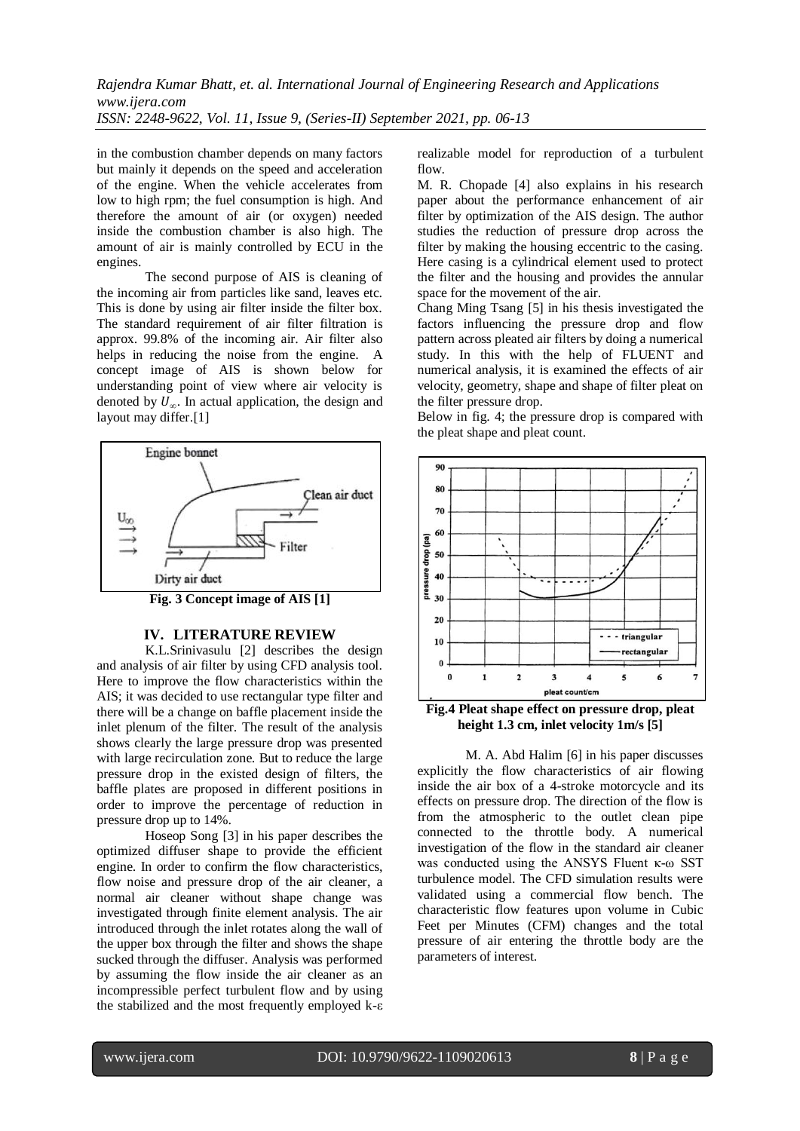in the combustion chamber depends on many factors but mainly it depends on the speed and acceleration of the engine. When the vehicle accelerates from low to high rpm; the fuel consumption is high. And therefore the amount of air (or oxygen) needed inside the combustion chamber is also high. The amount of air is mainly controlled by ECU in the engines.

The second purpose of AIS is cleaning of the incoming air from particles like sand, leaves etc. This is done by using air filter inside the filter box. The standard requirement of air filter filtration is approx. 99.8% of the incoming air. Air filter also helps in reducing the noise from the engine. A concept image of AIS is shown below for understanding point of view where air velocity is denoted by  $U_{\infty}$ . In actual application, the design and layout may differ.[1]



**Fig. 3 Concept image of AIS [1]**

## **IV. LITERATURE REVIEW**

K.L.Srinivasulu [2] describes the design and analysis of air filter by using CFD analysis tool. Here to improve the flow characteristics within the AIS; it was decided to use rectangular type filter and there will be a change on baffle placement inside the inlet plenum of the filter. The result of the analysis shows clearly the large pressure drop was presented with large recirculation zone. But to reduce the large pressure drop in the existed design of filters, the baffle plates are proposed in different positions in order to improve the percentage of reduction in pressure drop up to 14%.

Hoseop Song [3] in his paper describes the optimized diffuser shape to provide the efficient engine. In order to confirm the flow characteristics, flow noise and pressure drop of the air cleaner, a normal air cleaner without shape change was investigated through finite element analysis. The air introduced through the inlet rotates along the wall of the upper box through the filter and shows the shape sucked through the diffuser. Analysis was performed by assuming the flow inside the air cleaner as an incompressible perfect turbulent flow and by using the stabilized and the most frequently employed k-ε realizable model for reproduction of a turbulent flow.

M. R. Chopade [4] also explains in his research paper about the performance enhancement of air filter by optimization of the AIS design. The author studies the reduction of pressure drop across the filter by making the housing eccentric to the casing. Here casing is a cylindrical element used to protect the filter and the housing and provides the annular space for the movement of the air.

Chang Ming Tsang [5] in his thesis investigated the factors influencing the pressure drop and flow pattern across pleated air filters by doing a numerical study. In this with the help of FLUENT and numerical analysis, it is examined the effects of air velocity, geometry, shape and shape of filter pleat on the filter pressure drop.

Below in fig. 4; the pressure drop is compared with the pleat shape and pleat count.



**Fig.4 Pleat shape effect on pressure drop, pleat height 1.3 cm, inlet velocity 1m/s [5]**

M. A. Abd Halim [6] in his paper discusses explicitly the flow characteristics of air flowing inside the air box of a 4-stroke motorcycle and its effects on pressure drop. The direction of the flow is from the atmospheric to the outlet clean pipe connected to the throttle body. A numerical investigation of the flow in the standard air cleaner was conducted using the ANSYS Fluent κ-ω SST turbulence model. The CFD simulation results were validated using a commercial flow bench. The characteristic flow features upon volume in Cubic Feet per Minutes (CFM) changes and the total pressure of air entering the throttle body are the parameters of interest.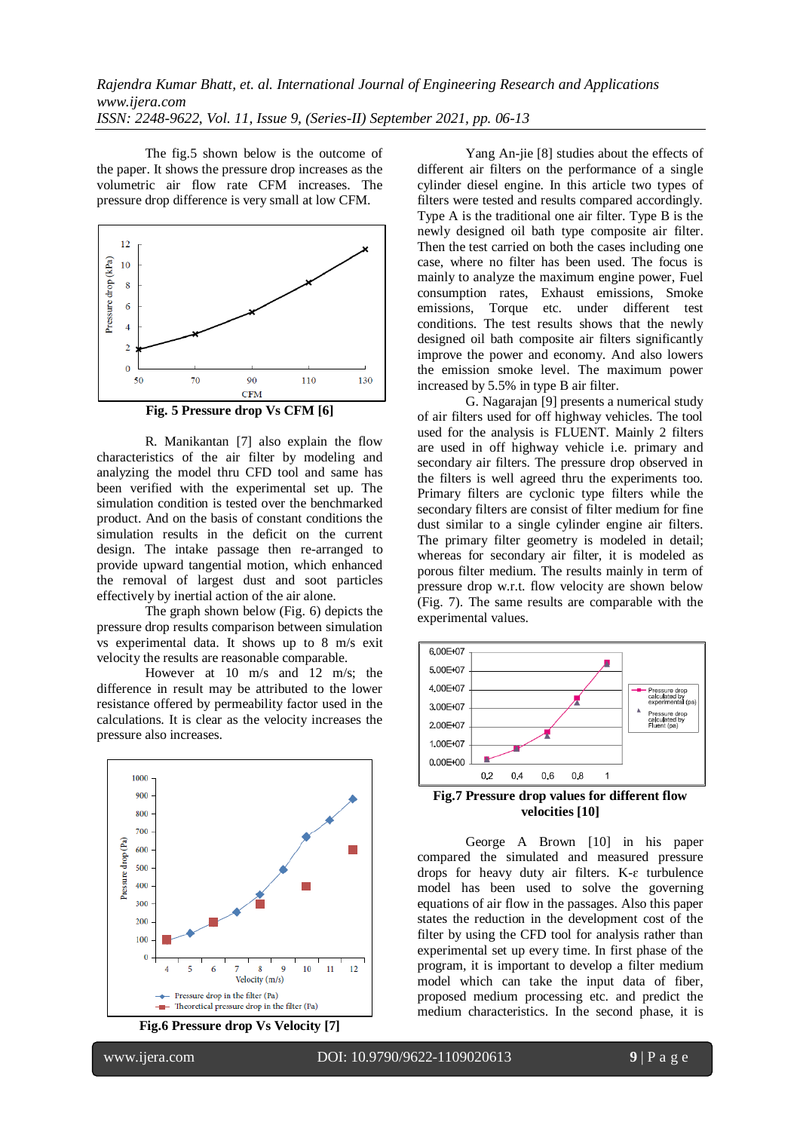The fig.5 shown below is the outcome of the paper. It shows the pressure drop increases as the volumetric air flow rate CFM increases. The pressure drop difference is very small at low CFM.



**Fig. 5 Pressure drop Vs CFM [6]**

R. Manikantan [7] also explain the flow characteristics of the air filter by modeling and analyzing the model thru CFD tool and same has been verified with the experimental set up. The simulation condition is tested over the benchmarked product. And on the basis of constant conditions the simulation results in the deficit on the current design. The intake passage then re-arranged to provide upward tangential motion, which enhanced the removal of largest dust and soot particles effectively by inertial action of the air alone.

The graph shown below (Fig. 6) depicts the pressure drop results comparison between simulation vs experimental data. It shows up to 8 m/s exit velocity the results are reasonable comparable.

However at 10 m/s and 12 m/s; the difference in result may be attributed to the lower resistance offered by permeability factor used in the calculations. It is clear as the velocity increases the pressure also increases.



**Fig.6 Pressure drop Vs Velocity [7]**

Yang An-jie [8] studies about the effects of different air filters on the performance of a single cylinder diesel engine. In this article two types of filters were tested and results compared accordingly. Type A is the traditional one air filter. Type B is the newly designed oil bath type composite air filter. Then the test carried on both the cases including one case, where no filter has been used. The focus is mainly to analyze the maximum engine power, Fuel consumption rates, Exhaust emissions, Smoke emissions, Torque etc. under different test conditions. The test results shows that the newly designed oil bath composite air filters significantly improve the power and economy. And also lowers the emission smoke level. The maximum power increased by 5.5% in type B air filter.

G. Nagarajan [9] presents a numerical study of air filters used for off highway vehicles. The tool used for the analysis is FLUENT. Mainly 2 filters are used in off highway vehicle i.e. primary and secondary air filters. The pressure drop observed in the filters is well agreed thru the experiments too. Primary filters are cyclonic type filters while the secondary filters are consist of filter medium for fine dust similar to a single cylinder engine air filters. The primary filter geometry is modeled in detail; whereas for secondary air filter, it is modeled as porous filter medium. The results mainly in term of pressure drop w.r.t. flow velocity are shown below (Fig. 7). The same results are comparable with the experimental values.



**Fig.7 Pressure drop values for different flow velocities [10]**

George A Brown [10] in his paper compared the simulated and measured pressure drops for heavy duty air filters. K-ɛ turbulence model has been used to solve the governing equations of air flow in the passages. Also this paper states the reduction in the development cost of the filter by using the CFD tool for analysis rather than experimental set up every time. In first phase of the program, it is important to develop a filter medium model which can take the input data of fiber, proposed medium processing etc. and predict the medium characteristics. In the second phase, it is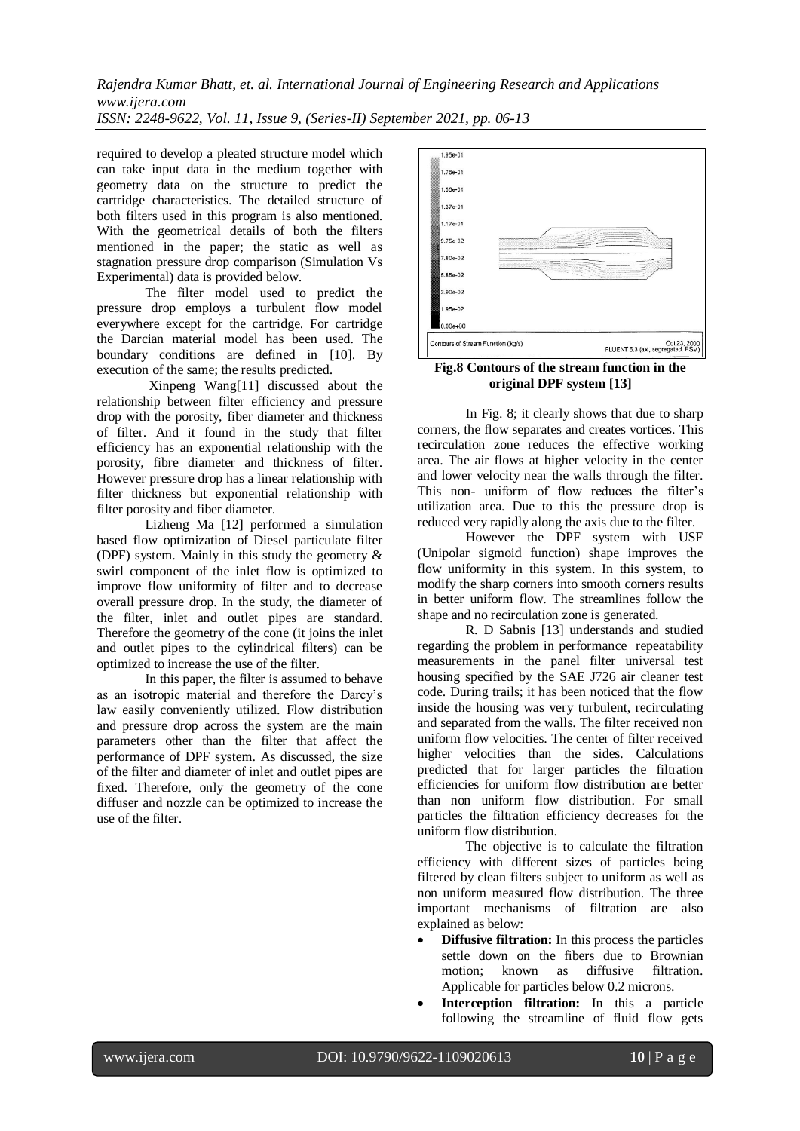*Rajendra Kumar Bhatt, et. al. International Journal of Engineering Research and Applications www.ijera.com ISSN: 2248-9622, Vol. 11, Issue 9, (Series-II) September 2021, pp. 06-13*

required to develop a pleated structure model which can take input data in the medium together with geometry data on the structure to predict the cartridge characteristics. The detailed structure of both filters used in this program is also mentioned. With the geometrical details of both the filters mentioned in the paper; the static as well as stagnation pressure drop comparison (Simulation Vs Experimental) data is provided below.

The filter model used to predict the pressure drop employs a turbulent flow model everywhere except for the cartridge. For cartridge the Darcian material model has been used. The boundary conditions are defined in [10]. By execution of the same; the results predicted.

Xinpeng Wang[11] discussed about the relationship between filter efficiency and pressure drop with the porosity, fiber diameter and thickness of filter. And it found in the study that filter efficiency has an exponential relationship with the porosity, fibre diameter and thickness of filter. However pressure drop has a linear relationship with filter thickness but exponential relationship with filter porosity and fiber diameter.

Lizheng Ma [12] performed a simulation based flow optimization of Diesel particulate filter (DPF) system. Mainly in this study the geometry & swirl component of the inlet flow is optimized to improve flow uniformity of filter and to decrease overall pressure drop. In the study, the diameter of the filter, inlet and outlet pipes are standard. Therefore the geometry of the cone (it joins the inlet and outlet pipes to the cylindrical filters) can be optimized to increase the use of the filter.

In this paper, the filter is assumed to behave as an isotropic material and therefore the Darcy's law easily conveniently utilized. Flow distribution and pressure drop across the system are the main parameters other than the filter that affect the performance of DPF system. As discussed, the size of the filter and diameter of inlet and outlet pipes are fixed. Therefore, only the geometry of the cone diffuser and nozzle can be optimized to increase the use of the filter.



**Fig.8 Contours of the stream function in the original DPF system [13]**

In Fig. 8; it clearly shows that due to sharp corners, the flow separates and creates vortices. This recirculation zone reduces the effective working area. The air flows at higher velocity in the center and lower velocity near the walls through the filter. This non- uniform of flow reduces the filter's utilization area. Due to this the pressure drop is reduced very rapidly along the axis due to the filter.

However the DPF system with USF (Unipolar sigmoid function) shape improves the flow uniformity in this system. In this system, to modify the sharp corners into smooth corners results in better uniform flow. The streamlines follow the shape and no recirculation zone is generated.

R. D Sabnis [13] understands and studied regarding the problem in performance repeatability measurements in the panel filter universal test housing specified by the SAE J726 air cleaner test code. During trails; it has been noticed that the flow inside the housing was very turbulent, recirculating and separated from the walls. The filter received non uniform flow velocities. The center of filter received higher velocities than the sides. Calculations predicted that for larger particles the filtration efficiencies for uniform flow distribution are better than non uniform flow distribution. For small particles the filtration efficiency decreases for the uniform flow distribution.

The objective is to calculate the filtration efficiency with different sizes of particles being filtered by clean filters subject to uniform as well as non uniform measured flow distribution. The three important mechanisms of filtration are also explained as below:

- **Diffusive filtration:** In this process the particles settle down on the fibers due to Brownian motion; known as diffusive filtration. Applicable for particles below 0.2 microns.
- **Interception filtration:** In this a particle following the streamline of fluid flow gets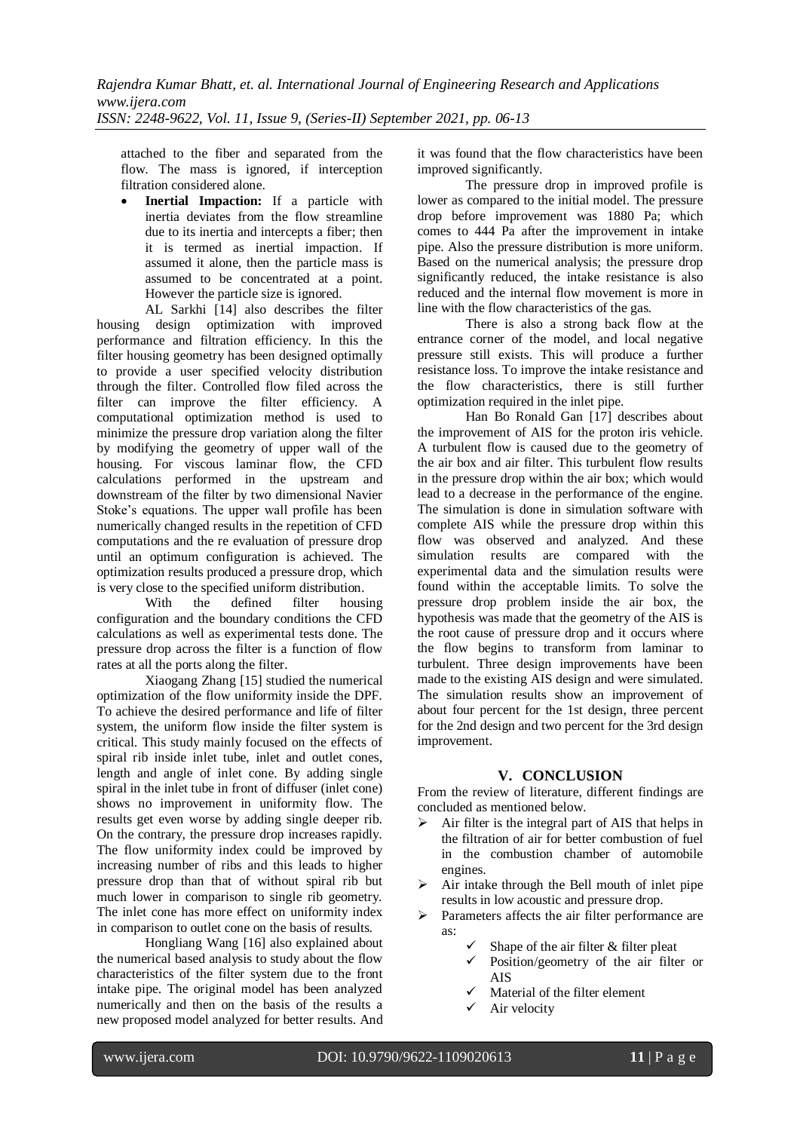attached to the fiber and separated from the flow. The mass is ignored, if interception filtration considered alone.

 **Inertial Impaction:** If a particle with inertia deviates from the flow streamline due to its inertia and intercepts a fiber; then it is termed as inertial impaction. If assumed it alone, then the particle mass is assumed to be concentrated at a point. However the particle size is ignored.

AL Sarkhi [14] also describes the filter housing design optimization with improved performance and filtration efficiency. In this the filter housing geometry has been designed optimally to provide a user specified velocity distribution through the filter. Controlled flow filed across the filter can improve the filter efficiency. A computational optimization method is used to minimize the pressure drop variation along the filter by modifying the geometry of upper wall of the housing. For viscous laminar flow, the CFD calculations performed in the upstream and downstream of the filter by two dimensional Navier Stoke's equations. The upper wall profile has been numerically changed results in the repetition of CFD computations and the re evaluation of pressure drop until an optimum configuration is achieved. The optimization results produced a pressure drop, which is very close to the specified uniform distribution.

With the defined filter housing configuration and the boundary conditions the CFD calculations as well as experimental tests done. The pressure drop across the filter is a function of flow rates at all the ports along the filter.

Xiaogang Zhang [15] studied the numerical optimization of the flow uniformity inside the DPF. To achieve the desired performance and life of filter system, the uniform flow inside the filter system is critical. This study mainly focused on the effects of spiral rib inside inlet tube, inlet and outlet cones, length and angle of inlet cone. By adding single spiral in the inlet tube in front of diffuser (inlet cone) shows no improvement in uniformity flow. The results get even worse by adding single deeper rib. On the contrary, the pressure drop increases rapidly. The flow uniformity index could be improved by increasing number of ribs and this leads to higher pressure drop than that of without spiral rib but much lower in comparison to single rib geometry. The inlet cone has more effect on uniformity index in comparison to outlet cone on the basis of results.

Hongliang Wang [16] also explained about the numerical based analysis to study about the flow characteristics of the filter system due to the front intake pipe. The original model has been analyzed numerically and then on the basis of the results a new proposed model analyzed for better results. And it was found that the flow characteristics have been improved significantly.

The pressure drop in improved profile is lower as compared to the initial model. The pressure drop before improvement was 1880 Pa; which comes to 444 Pa after the improvement in intake pipe. Also the pressure distribution is more uniform. Based on the numerical analysis; the pressure drop significantly reduced, the intake resistance is also reduced and the internal flow movement is more in line with the flow characteristics of the gas.

There is also a strong back flow at the entrance corner of the model, and local negative pressure still exists. This will produce a further resistance loss. To improve the intake resistance and the flow characteristics, there is still further optimization required in the inlet pipe.

Han Bo Ronald Gan [17] describes about the improvement of AIS for the proton iris vehicle. A turbulent flow is caused due to the geometry of the air box and air filter. This turbulent flow results in the pressure drop within the air box; which would lead to a decrease in the performance of the engine. The simulation is done in simulation software with complete AIS while the pressure drop within this flow was observed and analyzed. And these simulation results are compared with the experimental data and the simulation results were found within the acceptable limits. To solve the pressure drop problem inside the air box, the hypothesis was made that the geometry of the AIS is the root cause of pressure drop and it occurs where the flow begins to transform from laminar to turbulent. Three design improvements have been made to the existing AIS design and were simulated. The simulation results show an improvement of about four percent for the 1st design, three percent for the 2nd design and two percent for the 3rd design improvement.

# **V. CONCLUSION**

From the review of literature, different findings are concluded as mentioned below.

- $\triangleright$  Air filter is the integral part of AIS that helps in the filtration of air for better combustion of fuel in the combustion chamber of automobile engines.
- $\triangleright$  Air intake through the Bell mouth of inlet pipe results in low acoustic and pressure drop.
- Parameters affects the air filter performance are as:
	- Shape of the air filter & filter pleat
	- Position/geometry of the air filter or AIS
	- Material of the filter element
	- Air velocity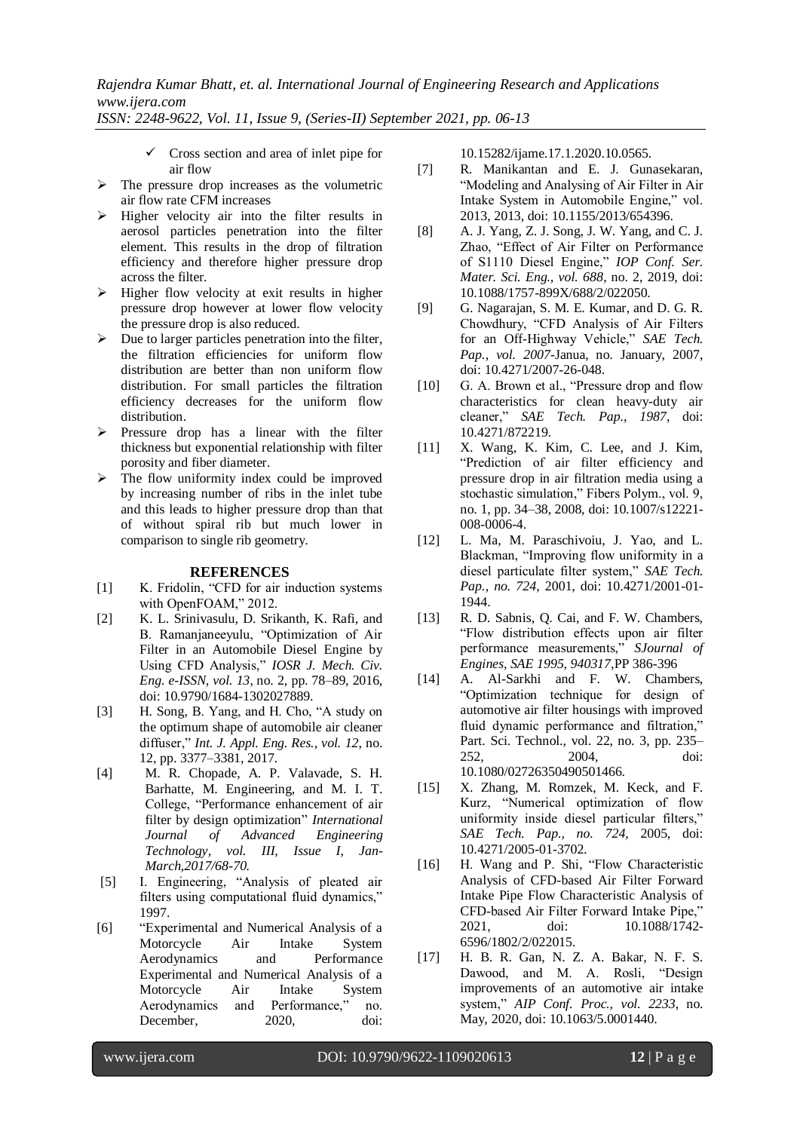*ISSN: 2248-9622, Vol. 11, Issue 9, (Series-II) September 2021, pp. 06-13*

- $\checkmark$  Cross section and area of inlet pipe for air flow
- $\triangleright$  The pressure drop increases as the volumetric air flow rate CFM increases
- $\triangleright$  Higher velocity air into the filter results in aerosol particles penetration into the filter element. This results in the drop of filtration efficiency and therefore higher pressure drop across the filter.
- $\triangleright$  Higher flow velocity at exit results in higher pressure drop however at lower flow velocity the pressure drop is also reduced.
- $\triangleright$  Due to larger particles penetration into the filter, the filtration efficiencies for uniform flow distribution are better than non uniform flow distribution. For small particles the filtration efficiency decreases for the uniform flow distribution.
- $\triangleright$  Pressure drop has a linear with the filter thickness but exponential relationship with filter porosity and fiber diameter.
- $\triangleright$  The flow uniformity index could be improved by increasing number of ribs in the inlet tube and this leads to higher pressure drop than that of without spiral rib but much lower in comparison to single rib geometry.

## **REFERENCES**

- [1] K. Fridolin, "CFD for air induction systems with OpenFOAM," 2012.
- [2] K. L. Srinivasulu, D. Srikanth, K. Rafi, and B. Ramanjaneeyulu, "Optimization of Air Filter in an Automobile Diesel Engine by Using CFD Analysis," *IOSR J. Mech. Civ. Eng. e-ISSN, vol. 13*, no. 2, pp. 78–89, 2016, doi: 10.9790/1684-1302027889.
- [3] H. Song, B. Yang, and H. Cho, "A study on the optimum shape of automobile air cleaner diffuser," *Int. J. Appl. Eng. Res., vol. 12*, no. 12, pp. 3377–3381, 2017.
- [4] M. R. Chopade, A. P. Valavade, S. H. Barhatte, M. Engineering, and M. I. T. College, "Performance enhancement of air filter by design optimization" *International Journal of Advanced Engineering Technology, vol. III, Issue I, Jan-March,2017/68-70.*
- [5] I. Engineering, "Analysis of pleated air filters using computational fluid dynamics," 1997.
- [6] "Experimental and Numerical Analysis of a Motorcycle Air Intake System Aerodynamics and Performance Experimental and Numerical Analysis of a Motorcycle Air Intake System Aerodynamics and Performance," no. December, 2020, doi:

10.15282/ijame.17.1.2020.10.0565.

- [7] R. Manikantan and E. J. Gunasekaran, "Modeling and Analysing of Air Filter in Air Intake System in Automobile Engine," vol. 2013, 2013, doi: 10.1155/2013/654396.
- [8] A. J. Yang, Z. J. Song, J. W. Yang, and C. J. Zhao, "Effect of Air Filter on Performance of S1110 Diesel Engine," *IOP Conf. Ser. Mater. Sci. Eng., vol. 688*, no. 2, 2019, doi: 10.1088/1757-899X/688/2/022050.
- [9] G. Nagarajan, S. M. E. Kumar, and D. G. R. Chowdhury, "CFD Analysis of Air Filters for an Off-Highway Vehicle," *SAE Tech. Pap., vol. 2007*-Janua, no. January, 2007, doi: 10.4271/2007-26-048.
- [10] G. A. Brown et al., "Pressure drop and flow characteristics for clean heavy-duty air cleaner," *SAE Tech. Pap., 1987*, doi: 10.4271/872219.
- [11] X. Wang, K. Kim, C. Lee, and J. Kim, "Prediction of air filter efficiency and pressure drop in air filtration media using a stochastic simulation," Fibers Polym., vol. 9, no. 1, pp. 34–38, 2008, doi: 10.1007/s12221- 008-0006-4.
- [12] L. Ma, M. Paraschivoiu, J. Yao, and L. Blackman, "Improving flow uniformity in a diesel particulate filter system," *SAE Tech. Pap., no. 724*, 2001, doi: 10.4271/2001-01- 1944.
- [13] R. D. Sabnis, Q. Cai, and F. W. Chambers, "Flow distribution effects upon air filter performance measurements," *SJournal of Engines, SAE 1995, 940317*,PP 386-396
- [14] A. Al-Sarkhi and F. W. Chambers, "Optimization technique for design of automotive air filter housings with improved fluid dynamic performance and filtration," Part. Sci. Technol., vol. 22, no. 3, pp. 235– 252, 2004, doi: 10.1080/02726350490501466.
- [15] X. Zhang, M. Romzek, M. Keck, and F. Kurz, "Numerical optimization of flow uniformity inside diesel particular filters," *SAE Tech. Pap., no. 724*, 2005, doi: 10.4271/2005-01-3702.
- [16] H. Wang and P. Shi, "Flow Characteristic Analysis of CFD-based Air Filter Forward Intake Pipe Flow Characteristic Analysis of CFD-based Air Filter Forward Intake Pipe," 2021, doi: 10.1088/1742- 6596/1802/2/022015.
- [17] H. B. R. Gan, N. Z. A. Bakar, N. F. S. Dawood, and M. A. Rosli, "Design improvements of an automotive air intake system," *AIP Conf. Proc., vol. 2233*, no. May, 2020, doi: 10.1063/5.0001440.